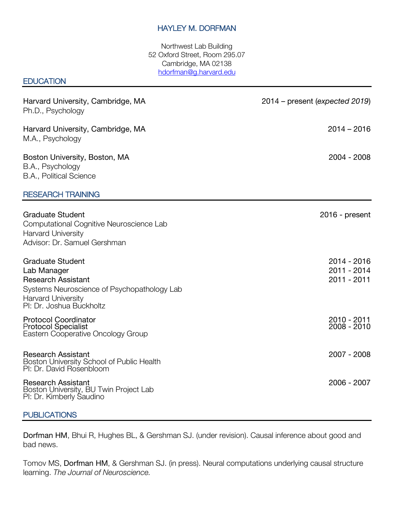### HAYLEY M. DORFMAN

Northwest Lab Building 52 Oxford Street, Room 295.07 Cambridge, MA 02138 hdorfman@g.harvard.edu

#### **EDUCATION**

| Harvard University, Cambridge, MA<br>Ph.D., Psychology                                                                                                                      | 2014 – present (expected 2019)            |
|-----------------------------------------------------------------------------------------------------------------------------------------------------------------------------|-------------------------------------------|
| Harvard University, Cambridge, MA<br>M.A., Psychology                                                                                                                       | $2014 - 2016$                             |
| Boston University, Boston, MA<br>B.A., Psychology<br>B.A., Political Science                                                                                                | $2004 - 2008$                             |
| <b>RESEARCH TRAINING</b>                                                                                                                                                    |                                           |
| <b>Graduate Student</b><br>Computational Cognitive Neuroscience Lab<br><b>Harvard University</b><br>Advisor: Dr. Samuel Gershman                                            | $2016$ - present                          |
| <b>Graduate Student</b><br>Lab Manager<br><b>Research Assistant</b><br>Systems Neuroscience of Psychopathology Lab<br><b>Harvard University</b><br>PI: Dr. Joshua Buckholtz | 2014 - 2016<br>2011 - 2014<br>2011 - 2011 |
| <b>Protocol Coordinator</b><br><b>Protocol Specialist</b><br>Eastern Cooperative Oncology Group                                                                             | 2010 - 2011<br>$2008 - 2010$              |
| <b>Research Assistant</b><br>Boston University School of Public Health<br>PI: Dr. David Rosenbloom                                                                          | 2007 - 2008                               |
| <b>Research Assistant</b><br>Boston University, BU Twin Project Lab<br>Pl: Dr. Kimberly Saudino                                                                             | 2006 - 2007                               |

#### **PUBLICATIONS**

Dorfman HM, Bhui R, Hughes BL, & Gershman SJ. (under revision). Causal inference about good and bad news.

Tomov MS, Dorfman HM, & Gershman SJ. (in press). Neural computations underlying causal structure learning. *The Journal of Neuroscience.*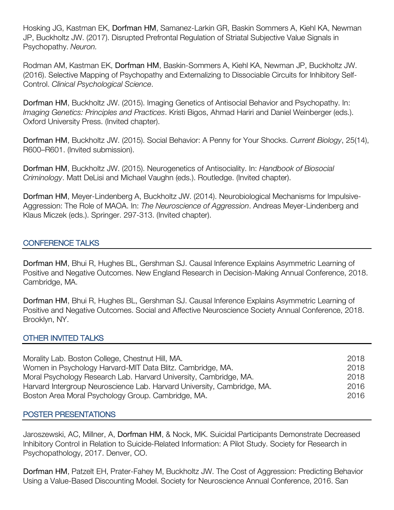Hosking JG, Kastman EK, Dorfman HM, Samanez-Larkin GR, Baskin Sommers A, Kiehl KA, Newman JP, Buckholtz JW. (2017). Disrupted Prefrontal Regulation of Striatal Subjective Value Signals in Psychopathy. *Neuron.*

Rodman AM, Kastman EK, Dorfman HM, Baskin-Sommers A, Kiehl KA, Newman JP, Buckholtz JW. (2016). Selective Mapping of Psychopathy and Externalizing to Dissociable Circuits for Inhibitory Self-Control. *Clinical Psychological Science*.

Dorfman HM, Buckholtz JW. (2015). Imaging Genetics of Antisocial Behavior and Psychopathy. In: *Imaging Genetics: Principles and Practices*. Kristi Bigos, Ahmad Hariri and Daniel Weinberger (eds.). Oxford University Press. (Invited chapter).

Dorfman HM, Buckholtz JW. (2015). Social Behavior: A Penny for Your Shocks. *Current Biology*, 25(14), R600–R601. (Invited submission).

Dorfman HM, Buckholtz JW. (2015). Neurogenetics of Antisociality. In: *Handbook of Biosocial Criminology*. Matt DeLisi and Michael Vaughn (eds.). Routledge. (Invited chapter).

Dorfman HM, Meyer-Lindenberg A, Buckholtz JW. (2014). Neurobiological Mechanisms for Impulsive-Aggression: The Role of MAOA. In: *The Neuroscience of Aggression*. Andreas Meyer-Lindenberg and Klaus Miczek (eds.). Springer. 297-313. (Invited chapter).

## CONFERENCE TALKS

Dorfman HM, Bhui R, Hughes BL, Gershman SJ. Causal Inference Explains Asymmetric Learning of Positive and Negative Outcomes. New England Research in Decision-Making Annual Conference, 2018. Cambridge, MA.

Dorfman HM, Bhui R, Hughes BL, Gershman SJ. Causal Inference Explains Asymmetric Learning of Positive and Negative Outcomes. Social and Affective Neuroscience Society Annual Conference, 2018. Brooklyn, NY.

## OTHER INVITED TALKS

| Morality Lab. Boston College, Chestnut Hill, MA.                        | 2018 |
|-------------------------------------------------------------------------|------|
| Women in Psychology Harvard-MIT Data Blitz. Cambridge, MA.              | 2018 |
| Moral Psychology Research Lab. Harvard University, Cambridge, MA.       | 2018 |
| Harvard Intergroup Neuroscience Lab. Harvard University, Cambridge, MA. | 2016 |
| Boston Area Moral Psychology Group. Cambridge, MA.                      | 2016 |

#### POSTER PRESENTATIONS

Jaroszewski, AC, Millner, A, Dorfman HM, & Nock, MK. Suicidal Participants Demonstrate Decreased Inhibitory Control in Relation to Suicide-Related Information: A Pilot Study. Society for Research in Psychopathology, 2017. Denver, CO.

Dorfman HM, Patzelt EH, Prater-Fahey M, Buckholtz JW. The Cost of Aggression: Predicting Behavior Using a Value-Based Discounting Model. Society for Neuroscience Annual Conference, 2016. San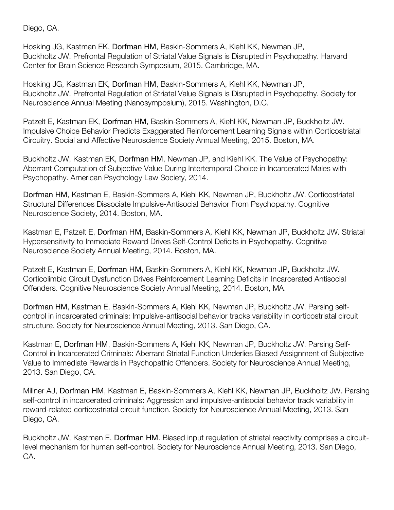Diego, CA.

Hosking JG, Kastman EK, Dorfman HM, Baskin-Sommers A, Kiehl KK, Newman JP, Buckholtz JW. Prefrontal Regulation of Striatal Value Signals is Disrupted in Psychopathy. Harvard Center for Brain Science Research Symposium, 2015. Cambridge, MA.

Hosking JG, Kastman EK, Dorfman HM, Baskin-Sommers A, Kiehl KK, Newman JP, Buckholtz JW. Prefrontal Regulation of Striatal Value Signals is Disrupted in Psychopathy. Society for Neuroscience Annual Meeting (Nanosymposium), 2015. Washington, D.C.

Patzelt E, Kastman EK, Dorfman HM, Baskin-Sommers A, Kiehl KK, Newman JP, Buckholtz JW. Impulsive Choice Behavior Predicts Exaggerated Reinforcement Learning Signals within Corticostriatal Circuitry. Social and Affective Neuroscience Society Annual Meeting, 2015. Boston, MA.

Buckholtz JW, Kastman EK, Dorfman HM, Newman JP, and Kiehl KK. The Value of Psychopathy: Aberrant Computation of Subjective Value During Intertemporal Choice in Incarcerated Males with Psychopathy. American Psychology Law Society, 2014.

Dorfman HM, Kastman E, Baskin-Sommers A, Kiehl KK, Newman JP, Buckholtz JW. Corticostriatal Structural Differences Dissociate Impulsive-Antisocial Behavior From Psychopathy. Cognitive Neuroscience Society, 2014. Boston, MA.

Kastman E, Patzelt E, Dorfman HM, Baskin-Sommers A, Kiehl KK, Newman JP, Buckholtz JW. Striatal Hypersensitivity to Immediate Reward Drives Self-Control Deficits in Psychopathy. Cognitive Neuroscience Society Annual Meeting, 2014. Boston, MA.

Patzelt E, Kastman E, Dorfman HM, Baskin-Sommers A, Kiehl KK, Newman JP, Buckholtz JW. Corticolimbic Circuit Dysfunction Drives Reinforcement Learning Deficits in Incarcerated Antisocial Offenders. Cognitive Neuroscience Society Annual Meeting, 2014. Boston, MA.

Dorfman HM, Kastman E, Baskin-Sommers A, Kiehl KK, Newman JP, Buckholtz JW. Parsing selfcontrol in incarcerated criminals: Impulsive-antisocial behavior tracks variability in corticostriatal circuit structure. Society for Neuroscience Annual Meeting, 2013. San Diego, CA.

Kastman E, Dorfman HM, Baskin-Sommers A, Kiehl KK, Newman JP, Buckholtz JW. Parsing Self-Control in Incarcerated Criminals: Aberrant Striatal Function Underlies Biased Assignment of Subjective Value to Immediate Rewards in Psychopathic Offenders. Society for Neuroscience Annual Meeting, 2013. San Diego, CA.

Millner AJ, Dorfman HM, Kastman E, Baskin-Sommers A, Kiehl KK, Newman JP, Buckholtz JW. Parsing self-control in incarcerated criminals: Aggression and impulsive-antisocial behavior track variability in reward-related corticostriatal circuit function. Society for Neuroscience Annual Meeting, 2013. San Diego, CA.

Buckholtz JW, Kastman E, Dorfman HM. Biased input regulation of striatal reactivity comprises a circuitlevel mechanism for human self-control. Society for Neuroscience Annual Meeting, 2013. San Diego, CA.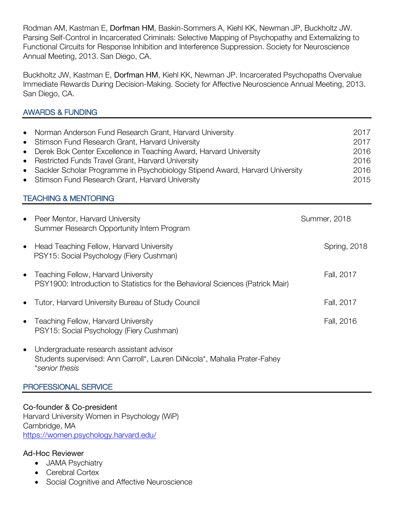Rodman AM, Kastman E, Dorfman HM, Baskin-Sommers A, Kiehl KK, Newman JP, Buckholtz JW. Parsing Self-Control in Incarcerated Criminals: Selective Mapping of Psychopathy and Externalizing to Functional Circuits for Response Inhibition and Interference Suppression. Society for Neuroscience Annual Meeting, 2013. San Diego, CA.

Buckholtz JW, Kastman E, Dorfman HM, Kiehl KK, Newman JP. Incarcerated Psychopaths Overvalue Immediate Rewards During Decision-Making. Society for Affective Neuroscience Annual Meeting, 2013. San Diego, CA.

# AWARDS & FUNDING

| • Norman Anderson Fund Research Grant, Harvard University                      | 2017 |
|--------------------------------------------------------------------------------|------|
| • Stimson Fund Research Grant, Harvard University                              | 2017 |
| • Derek Bok Center Excellence in Teaching Award, Harvard University            | 2016 |
| • Restricted Funds Travel Grant, Harvard University                            | 2016 |
| • Sackler Scholar Programme in Psychobiology Stipend Award, Harvard University | 2016 |
| • Stimson Fund Research Grant, Harvard University                              | 2015 |

## TEACHING & MENTORING

| $\bullet$ | Peer Mentor, Harvard University<br>Summer Research Opportunity Intern Program                                                           | <b>Summer, 2018</b> |
|-----------|-----------------------------------------------------------------------------------------------------------------------------------------|---------------------|
| $\bullet$ | Head Teaching Fellow, Harvard University<br>PSY15: Social Psychology (Fiery Cushman)                                                    | <b>Spring, 2018</b> |
| $\bullet$ | Teaching Fellow, Harvard University<br>PSY1900: Introduction to Statistics for the Behavioral Sciences (Patrick Mair)                   | Fall, 2017          |
| $\bullet$ | Tutor, Harvard University Bureau of Study Council                                                                                       | Fall, 2017          |
| $\bullet$ | Teaching Fellow, Harvard University<br>PSY15: Social Psychology (Fiery Cushman)                                                         | Fall, 2016          |
| $\bullet$ | Undergraduate research assistant advisor<br>Students supervised: Ann Carroll*, Lauren DiNicola*, Mahalia Prater-Fahey<br>*senior thesis |                     |

# PROFESSIONAL SERVICE

Co-founder & Co-president Harvard University Women in Psychology (WiP) Cambridge, MA https://women.psychology.harvard.edu/

## Ad-Hoc Reviewer

- JAMA Psychiatry
- Cerebral Cortex
- Social Cognitive and Affective Neuroscience